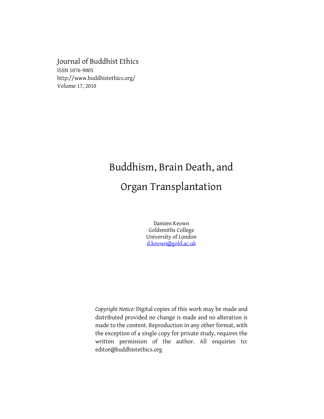Journal of Buddhist Ethics ISSN 1076-9005 http://www.buddhistethics.org/ Volume 17, 2010

# Buddhism, Brain Death, and Organ Transplantation

Damien Keown Goldsmiths College University of London [d.keown@gold.ac.uk](mailto:d.keown@gold.ac.uk)

*Copyright Notice:* Digital copies of this work may be made and distributed provided no change is made and no alteration is made to the content. Reproduction in any other format, with the exception of a single copy for private study, requires the written permission of the author. All enquiries to: editor@buddhistethics.org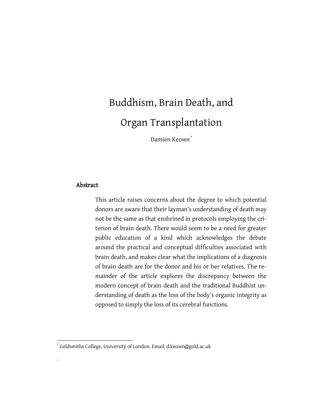# Buddhism, Brain Death, and Organ Transplantation

Damien Keown<sup>\*</sup>

## Abstract

 $\overline{\phantom{a}}$ 

.

This article raises concerns about the degree to which potential donors are aware that their layman's understanding of death may not be the same as that enshrined in protocols employing the criterion of brain death. There would seem to be a need for greater public education of a kind which acknowledges the debate around the practical and conceptual difficulties associated with brain death, and makes clear what the implications of a diagnosis of brain death are for the donor and his or her relatives. The remainder of the article explores the discrepancy between the modern concept of brain death and the traditional Buddhist understanding of death as the loss of the body's organic integrity as opposed to simply the loss of its cerebral functions.

<sup>\*</sup> Goldsmiths College, University of London. Email: d.keown@gold.ac.uk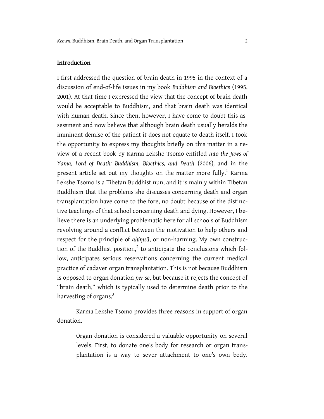## Introduction

I first addressed the question of brain death in 1995 in the context of a discussion of end-of-life issues in my book *Buddhism and Bioethic*s (1995, 2001). At that time I expressed the view that the concept of brain death would be acceptable to Buddhism, and that brain death was identical with human death. Since then, however, I have come to doubt this assessment and now believe that although brain death usually heralds the imminent demise of the patient it does not equate to death itself. I took the opportunity to express my thoughts briefly on this matter in a review of a recent book by Karma Lekshe Tsomo entitled *Into the Jaws of Yama, Lord of Death: Buddhism, Bioethics, and Death* (2006)*,* and in the present article set out my thoughts on the matter more fully.<sup>1</sup> Karma Lekshe Tsomo is a Tibetan Buddhist nun, and it is mainly within Tibetan Buddhism that the problems she discusses concerning death and organ transplantation have come to the fore, no doubt because of the distinctive teachings of that school concerning death and dying. However, I believe there is an underlying problematic here for all schools of Buddhism revolving around a conflict between the motivation to help others and respect for the principle of *ahiṃsā*, or non-harming. My own construction of the Buddhist position, $^2$  to anticipate the conclusions which follow, anticipates serious reservations concerning the current medical practice of cadaver organ transplantation. This is not because Buddhism is opposed to organ donation *per se*, but because it rejects the concept of "brain death," which is typically used to determine death prior to the harvesting of organs.<sup>3</sup>

Karma Lekshe Tsomo provides three reasons in support of organ donation.

Organ donation is considered a valuable opportunity on several levels. First, to donate one's body for research or organ transplantation is a way to sever attachment to one's own body.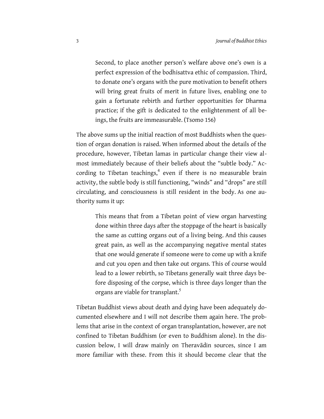Second, to place another person's welfare above one's own is a perfect expression of the bodhisattva ethic of compassion. Third, to donate one's organs with the pure motivation to benefit others will bring great fruits of merit in future lives, enabling one to gain a fortunate rebirth and further opportunities for Dharma practice; if the gift is dedicated to the enlightenment of all beings, the fruits are immeasurable. (Tsomo 156)

The above sums up the initial reaction of most Buddhists when the question of organ donation is raised. When informed about the details of the procedure, however, Tibetan lamas in particular change their view almost immediately because of their beliefs about the "subtle body." According to Tibetan teachings, $4$  even if there is no measurable brain activity, the subtle body is still functioning, "winds" and "drops" are still circulating, and consciousness is still resident in the body. As one authority sums it up:

This means that from a Tibetan point of view organ harvesting done within three days after the stoppage of the heart is basically the same as cutting organs out of a living being. And this causes great pain, as well as the accompanying negative mental states that one would generate if someone were to come up with a knife and cut you open and then take out organs. This of course would lead to a lower rebirth, so Tibetans generally wait three days before disposing of the corpse, which is three days longer than the organs are viable for transplant.<sup>5</sup>

Tibetan Buddhist views about death and dying have been adequately documented elsewhere and I will not describe them again here. The problems that arise in the context of organ transplantation, however, are not confined to Tibetan Buddhism (or even to Buddhism alone). In the discussion below, I will draw mainly on Theravādin sources, since I am more familiar with these. From this it should become clear that the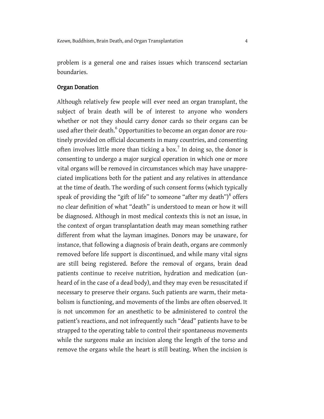problem is a general one and raises issues which transcend sectarian boundaries.

## Organ Donation

Although relatively few people will ever need an organ transplant, the subject of brain death will be of interest to anyone who wonders whether or not they should carry donor cards so their organs can be used after their death. $^6$  Opportunities to become an organ donor are routinely provided on official documents in many countries, and consenting often involves little more than ticking a box.<sup>7</sup> In doing so, the donor is consenting to undergo a major surgical operation in which one or more vital organs will be removed in circumstances which may have unappreciated implications both for the patient and any relatives in attendance at the time of death. The wording of such consent forms (which typically speak of providing the "gift of life" to someone "after my death") $^8$  offers no clear definition of what "death" is understood to mean or how it will be diagnosed. Although in most medical contexts this is not an issue, in the context of organ transplantation death may mean something rather different from what the layman imagines. Donors may be unaware, for instance, that following a diagnosis of brain death, organs are commonly removed before life support is discontinued, and while many vital signs are still being registered. Before the removal of organs, brain dead patients continue to receive nutrition, hydration and medication (unheard of in the case of a dead body), and they may even be resuscitated if necessary to preserve their organs. Such patients are warm, their metabolism is functioning, and movements of the limbs are often observed. It is not uncommon for an anesthetic to be administered to control the patient's reactions, and not infrequently such "dead" patients have to be strapped to the operating table to control their spontaneous movements while the surgeons make an incision along the length of the torso and remove the organs while the heart is still beating. When the incision is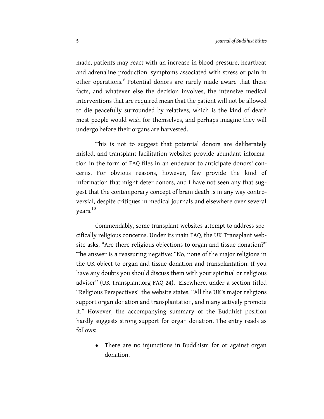made, patients may react with an increase in blood pressure, heartbeat and adrenaline production, symptoms associated with stress or pain in other operations.<sup>9</sup> Potential donors are rarely made aware that these facts, and whatever else the decision involves, the intensive medical interventions that are required mean that the patient will not be allowed to die peacefully surrounded by relatives, which is the kind of death most people would wish for themselves, and perhaps imagine they will undergo before their organs are harvested.

This is not to suggest that potential donors are deliberately misled, and transplant-facilitation websites provide abundant information in the form of FAQ files in an endeavor to anticipate donors' concerns. For obvious reasons, however, few provide the kind of information that might deter donors, and I have not seen any that suggest that the contemporary concept of brain death is in any way controversial, despite critiques in medical journals and elsewhere over several vears. $^{10}$ 

Commendably, some transplant websites attempt to address specifically religious concerns. Under its main FAQ, the UK Transplant website asks, "Are there religious objections to organ and tissue donation?" The answer is a reassuring negative: "No, none of the major religions in the UK object to organ and tissue donation and transplantation. If you have any doubts you should discuss them with your spiritual or religious adviser" (UK Transplant.org FAQ 24). Elsewhere, under a section titled "Religious Perspectives" the website states, "All the UK's major religions support organ donation and transplantation, and many actively promote it." However, the accompanying summary of the Buddhist position hardly suggests strong support for organ donation. The entry reads as follows:

 $\bullet$ There are no injunctions in Buddhism for or against organ donation.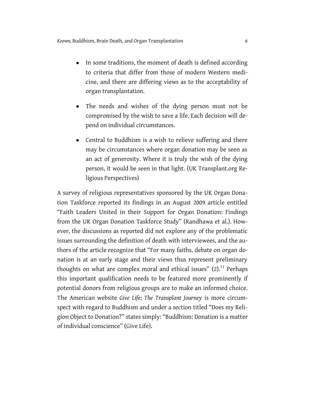- In some traditions, the moment of death is defined according to criteria that differ from those of modern Western medicine, and there are differing views as to the acceptability of organ transplantation.
- The needs and wishes of the dying person must not be compromised by the wish to save a life. Each decision will depend on individual circumstances.
- Central to Buddhism is a wish to relieve suffering and there may be circumstances where organ donation may be seen as an act of generosity. Where it is truly the wish of the dying person, it would be seen in that light. (UK Transplant.org Religious Perspectives)

A survey of religious representatives sponsored by the UK Organ Donation Taskforce reported its findings in an August 2009 article entitled "Faith Leaders United in their Support for Organ Donation: Findings from the UK Organ Donation Taskforce Study" (Randhawa et al.). However, the discussions as reported did not explore any of the problematic issues surrounding the definition of death with interviewees, and the authors of the article recognize that "For many faiths, debate on organ donation is at an early stage and their views thus represent preliminary thoughts on what are complex moral and ethical issues"  $(2).^{11}$  Perhaps this important qualification needs to be featured more prominently if potential donors from religious groups are to make an informed choice. The American website *Give Life; The Transplant Journey* is more circumspect with regard to Buddhism and under a section titled "Does my Religion Object to Donation?" states simply: "Buddhism: Donation is a matter of individual conscience" (Give Life).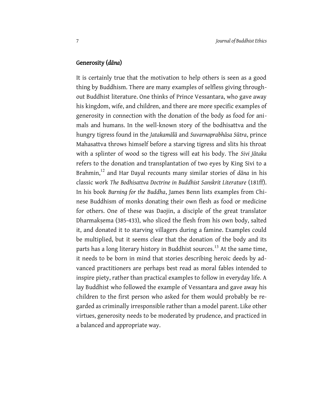### Generosity (*dāna*)

It is certainly true that the motivation to help others is seen as a good thing by Buddhism. There are many examples of selfless giving throughout Buddhist literature. One thinks of Prince Vessantara, who gave away his kingdom, wife, and children, and there are more specific examples of generosity in connection with the donation of the body as food for animals and humans. In the well-known story of the bodhisattva and the hungry tigress found in the *Jatakamālā* and *Suvarnaprabhāsa Sūtra*, prince Mahasattva throws himself before a starving tigress and slits his throat with a splinter of wood so the tigress will eat his body. The *Sivi Jātaka* refers to the donation and transplantation of two eyes by King Sivi to a Brahmin,<sup>12</sup> and Har Dayal recounts many similar stories of *dāna* in his classic work *The Bodhisattva Doctrine in Buddhist Sanskrit Literature* (181ff). In his book *Burning for the Buddha*, James Benn lists examples from Chinese Buddhism of monks donating their own flesh as food or medicine for others. One of these was Daojin, a disciple of the great translator Dharmakṣema (385-433), who sliced the flesh from his own body, salted it, and donated it to starving villagers during a famine. Examples could be multiplied, but it seems clear that the donation of the body and its parts has a long literary history in Buddhist sources.<sup>13</sup> At the same time, it needs to be born in mind that stories describing heroic deeds by advanced practitioners are perhaps best read as moral fables intended to inspire piety, rather than practical examples to follow in everyday life. A lay Buddhist who followed the example of Vessantara and gave away his children to the first person who asked for them would probably be regarded as criminally irresponsible rather than a model parent. Like other virtues, generosity needs to be moderated by prudence, and practiced in a balanced and appropriate way.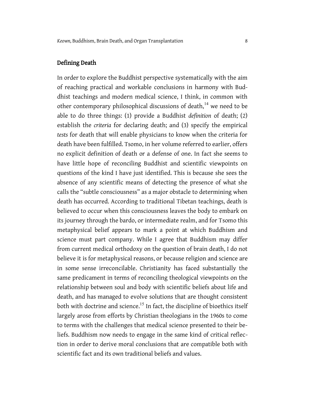## Defining Death

In order to explore the Buddhist perspective systematically with the aim of reaching practical and workable conclusions in harmony with Buddhist teachings and modern medical science, I think, in common with other contemporary philosophical discussions of death,<sup>14</sup> we need to be able to do three things: (1) provide a Buddhist *definition* of death; (2) establish the *criteria* for declaring death; and (3) specify the empirical *tests* for death that will enable physicians to know when the criteria for death have been fulfilled. Tsomo, in her volume referred to earlier, offers no explicit definition of death or a defense of one. In fact she seems to have little hope of reconciling Buddhist and scientific viewpoints on questions of the kind I have just identified. This is because she sees the absence of any scientific means of detecting the presence of what she calls the "subtle consciousness" as a major obstacle to determining when death has occurred. According to traditional Tibetan teachings, death is believed to occur when this consciousness leaves the body to embark on its journey through the bardo, or intermediate realm, and for Tsomo this metaphysical belief appears to mark a point at which Buddhism and science must part company. While I agree that Buddhism may differ from current medical orthodoxy on the question of brain death, I do not believe it is for metaphysical reasons, or because religion and science are in some sense irreconcilable. Christianity has faced substantially the same predicament in terms of reconciling theological viewpoints on the relationship between soul and body with scientific beliefs about life and death, and has managed to evolve solutions that are thought consistent both with doctrine and science.<sup>15</sup> In fact, the discipline of bioethics itself largely arose from efforts by Christian theologians in the 1960s to come to terms with the challenges that medical science presented to their beliefs. Buddhism now needs to engage in the same kind of critical reflection in order to derive moral conclusions that are compatible both with scientific fact and its own traditional beliefs and values.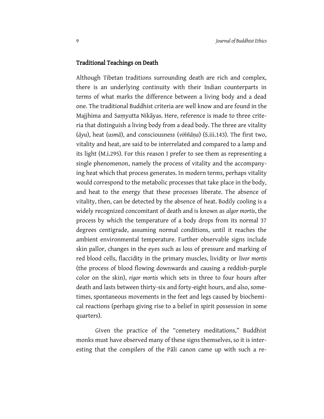## Traditional Teachings on Death

Although Tibetan traditions surrounding death are rich and complex, there is an underlying continuity with their Indian counterparts in terms of what marks the difference between a living body and a dead one. The traditional Buddhist criteria are well know and are found in the Majjhima and Saṃyutta Nikāyas. Here, reference is made to three criteria that distinguish a living body from a dead body. The three are vitality (*āyu*), heat (*usmā*), and consciousness (*viññāṇa*) (S.iii.143). The first two, vitality and heat, are said to be interrelated and compared to a lamp and its light (M.i.295). For this reason I prefer to see them as representing a single phenomenon, namely the process of vitality and the accompanying heat which that process generates. In modern terms, perhaps vitality would correspond to the metabolic processes that take place in the body, and heat to the energy that these processes liberate. The absence of vitality, then, can be detected by the absence of heat. Bodily cooling is a widely recognized concomitant of death and is known as *algor mortis*, the process by which the temperature of a body drops from its normal 37 degrees centigrade, assuming normal conditions, until it reaches the ambient environmental temperature. Further observable signs include skin pallor, changes in the eyes such as loss of pressure and marking of red blood cells, flaccidity in the primary muscles, lividity or *livor mortis* (the process of blood flowing downwards and causing a reddish-purple color on the skin), *rigor mortis* which sets in three to four hours after death and lasts between thirty-six and forty-eight hours, and also, sometimes, spontaneous movements in the feet and legs caused by biochemical reactions (perhaps giving rise to a belief in spirit possession in some quarters).

Given the practice of the "cemetery meditations," Buddhist monks must have observed many of these signs themselves, so it is interesting that the compilers of the Pāli canon came up with such a re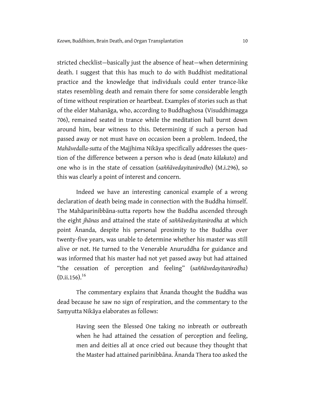stricted checklist—basically just the absence of heat—when determining death. I suggest that this has much to do with Buddhist meditational practice and the knowledge that individuals could enter trance-like states resembling death and remain there for some considerable length of time without respiration or heartbeat. Examples of stories such as that of the elder Mahanāga, who, according to Buddhaghosa (Visuddhimagga 706), remained seated in trance while the meditation hall burnt down around him, bear witness to this. Determining if such a person had passed away or not must have on occasion been a problem. Indeed, the *Mahāvedalla-sutta* of the Majjhima Nikāya specifically addresses the question of the difference between a person who is dead (*mato kālakato*) and one who is in the state of cessation (*saññāvedayitanirodho*) (M.i.296), so this was clearly a point of interest and concern.

Indeed we have an interesting canonical example of a wrong declaration of death being made in connection with the Buddha himself. The Mahāparinibbāna-sutta reports how the Buddha ascended through the eight *jhānas* and attained the state of *saññāvedayitanirodha* at which point Ānanda, despite his personal proximity to the Buddha over twenty-five years, was unable to determine whether his master was still alive or not. He turned to the Venerable Anuruddha for guidance and was informed that his master had not yet passed away but had attained "the cessation of perception and feeling" (*saññāvedayitanirodha*)  $(D.ii.156).$ <sup>16</sup>

The commentary explains that Ānanda thought the Buddha was dead because he saw no sign of respiration, and the commentary to the Saṃyutta Nikāya elaborates as follows:

Having seen the Blessed One taking no inbreath or outbreath when he had attained the cessation of perception and feeling, men and deities all at once cried out because they thought that the Master had attained parinibbāna. Ānanda Thera too asked the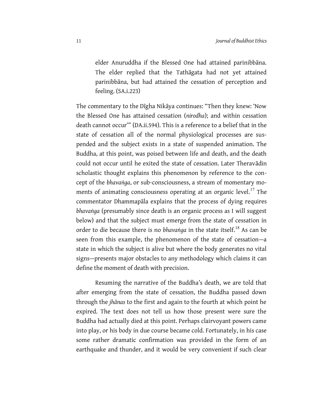elder Anuruddha if the Blessed One had attained parinibbāna. The elder replied that the Tathāgata had not yet attained parinibbāna, but had attained the cessation of perception and feeling. (SA.i.223)

The commentary to the Digha Nikāya continues: "Then they knew: 'Now the Blessed One has attained cessation (*nirodha*); and within cessation death cannot occur"" (DA.ii.594). This is a reference to a belief that in the state of cessation all of the normal physiological processes are suspended and the subject exists in a state of suspended animation. The Buddha, at this point, was poised between life and death, and the death could not occur until he exited the state of cessation. Later Theravādin scholastic thought explains this phenomenon by reference to the concept of the *bhavaṅga*, or sub-consciousness, a stream of momentary moments of animating consciousness operating at an organic level.<sup>17</sup> The commentator Dhammapāla explains that the process of dying requires *bhavaṅga* (presumably since death is an organic process as I will suggest below) and that the subject must emerge from the state of cessation in order to die because there is no *bhavaṅga* in the state itself.<sup>18</sup> As can be seen from this example, the phenomenon of the state of cessation—a state in which the subject is alive but where the body generates no vital signs—presents major obstacles to any methodology which claims it can define the moment of death with precision.

Resuming the narrative of the Buddha's death, we are told that after emerging from the state of cessation, the Buddha passed down through the *jhānas* to the first and again to the fourth at which point he expired. The text does not tell us how those present were sure the Buddha had actually died at this point. Perhaps clairvoyant powers came into play, or his body in due course became cold. Fortunately, in his case some rather dramatic confirmation was provided in the form of an earthquake and thunder, and it would be very convenient if such clear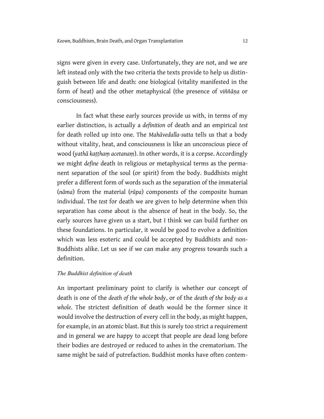signs were given in every case. Unfortunately, they are not, and we are left instead only with the two criteria the texts provide to help us distinguish between life and death: one biological (vitality manifested in the form of heat) and the other metaphysical (the presence of *viññāṇa* or consciousness).

In fact what these early sources provide us with, in terms of my earlier distinction, is actually a *definition* of death and an empirical *test* for death rolled up into one. The *Mahāvedalla-sutta* tells us that a body without vitality, heat, and consciousness is like an unconscious piece of wood (*yathā kaṭṭhaṃ acetanaṃ*). In other words, it is a corpse. Accordingly we might *define* death in religious or metaphysical terms as the permanent separation of the soul (or spirit) from the body. Buddhists might prefer a different form of words such as the separation of the immaterial (*nāma*) from the material (*rūpa*) components of the composite human individual. The *test* for death we are given to help determine when this separation has come about is the absence of heat in the body. So, the early sources have given us a start, but I think we can build further on these foundations. In particular, it would be good to evolve a definition which was less esoteric and could be accepted by Buddhists and non-Buddhists alike. Let us see if we can make any progress towards such a definition.

#### *The Buddhist definition of death*

An important preliminary point to clarify is whether our concept of death is one of the *death of the whole body*, or of the *death of the body as a whole*. The strictest definition of death would be the former since it would involve the destruction of every cell in the body, as might happen, for example, in an atomic blast. But this is surely too strict a requirement and in general we are happy to accept that people are dead long before their bodies are destroyed or reduced to ashes in the crematorium. The same might be said of putrefaction. Buddhist monks have often contem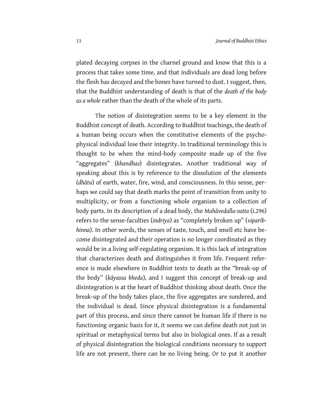plated decaying corpses in the charnel ground and know that this is a process that takes some time, and that individuals are dead long before the flesh has decayed and the bones have turned to dust. I suggest, then, that the Buddhist understanding of death is that of the *death of the body as a whole* rather than the death of the whole of its parts.

The notion of disintegration seems to be a key element in the Buddhist concept of death. According to Buddhist teachings, the death of a human being occurs when the constitutive elements of the psychophysical individual lose their integrity. In traditional terminology this is thought to be when the mind-body composite made up of the five "aggregates" (*khandhas*) disintegrates. Another traditional way of speaking about this is by reference to the dissolution of the elements (*dhātu*) of earth, water, fire, wind, and consciousness. In this sense, perhaps we could say that death marks the point of transition from unity to multiplicity, or from a functioning whole organism to a collection of body parts. In its description of a dead body, the *Mahāvedalla-sutta* (i.296) refers to the sense-faculties (*indriya*) as "completely broken up" (*viparibhinna*). In other words, the senses of taste, touch, and smell etc have become disintegrated and their operation is no longer coordinated as they would be in a living self-regulating organism. It is this lack of integration that characterizes death and distinguishes it from life. Frequent reference is made elsewhere in Buddhist texts to death as the "break-up of the body" (*kāyassa bheda*), and I suggest this concept of break-up and disintegration is at the heart of Buddhist thinking about death. Once the break-up of the body takes place, the five aggregates are sundered, and the individual is dead. Since physical disintegration is a fundamental part of this process, and since there cannot be human life if there is no functioning organic basis for it, it seems we can define death not just in spiritual or metaphysical terms but also in biological ones. If as a result of physical disintegration the biological conditions necessary to support life are not present, there can be no living being. Or to put it another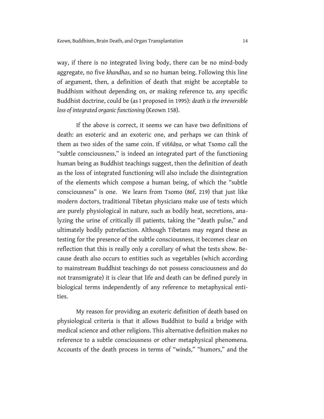way, if there is no integrated living body, there can be no mind-body aggregate, no five *khandhas*, and so no human being. Following this line of argument, then, a definition of death that might be acceptable to Buddhism without depending on, or making reference to, any specific Buddhist doctrine, could be (as I proposed in 1995): *death is the irreversible loss of integrated organic functioning* (Keown 158).

If the above is correct, it seems we can have two definitions of death: an esoteric and an exoteric one, and perhaps we can think of them as two sides of the same coin. If *viññāṇa*, or what Tsomo call the "subtle consciousness," is indeed an integrated part of the functioning human being as Buddhist teachings suggest, then the definition of death as the loss of integrated functioning will also include the disintegration of the elements which compose a human being, of which the "subtle consciousness" is one. We learn from Tsomo (86f, 219) that just like modern doctors, traditional Tibetan physicians make use of tests which are purely physiological in nature, such as bodily heat, secretions, analyzing the urine of critically ill patients, taking the "death pulse," and ultimately bodily putrefaction. Although Tibetans may regard these as testing for the presence of the subtle consciousness, it becomes clear on reflection that this is really only a corollary of what the tests show. Because death also occurs to entities such as vegetables (which according to mainstream Buddhist teachings do not possess consciousness and do not transmigrate) it is clear that life and death can be defined purely in biological terms independently of any reference to metaphysical entities.

My reason for providing an exoteric definition of death based on physiological criteria is that it allows Buddhist to build a bridge with medical science and other religions. This alternative definition makes no reference to a subtle consciousness or other metaphysical phenomena. Accounts of the death process in terms of "winds," "humors," and the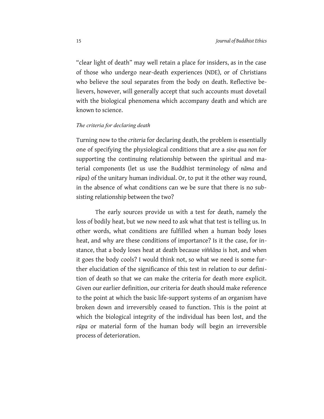"clear light of death" may well retain a place for insiders, as in the case of those who undergo near-death experiences (NDE), or of Christians who believe the soul separates from the body on death. Reflective believers, however, will generally accept that such accounts must dovetail with the biological phenomena which accompany death and which are known to science.

## *The criteria for declaring death*

Turning now to the *criteria* for declaring death, the problem is essentially one of specifying the physiological conditions that are a *sine qua non* for supporting the continuing relationship between the spiritual and material components (let us use the Buddhist terminology of *nāma* and *rūpa*) of the unitary human individual. Or, to put it the other way round, in the absence of what conditions can we be sure that there is no subsisting relationship between the two?

The early sources provide us with a test for death, namely the loss of bodily heat, but we now need to ask what that test is telling us. In other words, what conditions are fulfilled when a human body loses heat, and why are these conditions of importance? Is it the case, for instance, that a body loses heat at death because *viññāṇa* is hot, and when it goes the body cools? I would think not, so what we need is some further elucidation of the significance of this test in relation to our definition of death so that we can make the criteria for death more explicit. Given our earlier definition, our criteria for death should make reference to the point at which the basic life-support systems of an organism have broken down and irreversibly ceased to function. This is the point at which the biological integrity of the individual has been lost, and the *rūpa* or material form of the human body will begin an irreversible process of deterioration.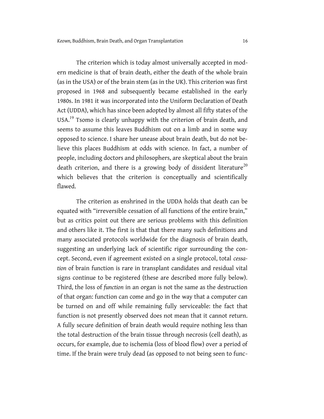The criterion which is today almost universally accepted in modern medicine is that of brain death, either the death of the whole brain (as in the USA) or of the brain stem (as in the UK). This criterion was first proposed in 1968 and subsequently became established in the early 1980s. In 1981 it was incorporated into the Uniform Declaration of Death Act (UDDA), which has since been adopted by almost all fifty states of the USA.<sup>19</sup> Tsomo is clearly unhappy with the criterion of brain death, and seems to assume this leaves Buddhism out on a limb and in some way opposed to science. I share her unease about brain death, but do not believe this places Buddhism at odds with science. In fact, a number of people, including doctors and philosophers, are skeptical about the brain death criterion, and there is a growing body of dissident literature<sup>20</sup> which believes that the criterion is conceptually and scientifically flawed.

The criterion as enshrined in the UDDA holds that death can be equated with "irreversible cessation of all functions of the entire brain," but as critics point out there are serious problems with this definition and others like it. The first is that that there many such definitions and many associated protocols worldwide for the diagnosis of brain death, suggesting an underlying lack of scientific rigor surrounding the concept. Second, even if agreement existed on a single protocol, total *cessation* of brain function is rare in transplant candidates and residual vital signs continue to be registered (these are described more fully below). Third, the loss of *function* in an organ is not the same as the destruction of that organ: function can come and go in the way that a computer can be turned on and off while remaining fully serviceable: the fact that function is not presently observed does not mean that it cannot return. A fully secure definition of brain death would require nothing less than the total destruction of the brain tissue through necrosis (cell death), as occurs, for example, due to ischemia (loss of blood flow) over a period of time. If the brain were truly dead (as opposed to not being seen to func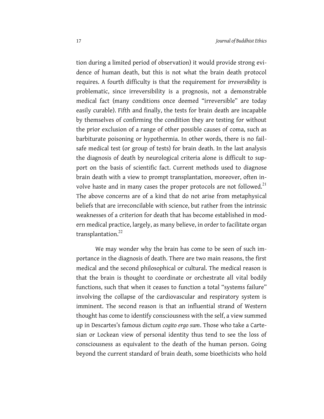tion during a limited period of observation) it would provide strong evidence of human death, but this is not what the brain death protocol requires. A fourth difficulty is that the requirement for *irreversibility* is problematic, since irreversibility is a prognosis, not a demonstrable medical fact (many conditions once deemed "irreversible" are today easily curable). Fifth and finally, the tests for brain death are incapable by themselves of confirming the condition they are testing for without the prior exclusion of a range of other possible causes of coma, such as barbiturate poisoning or hypothermia. In other words, there is no failsafe medical test (or group of tests) for brain death. In the last analysis the diagnosis of death by neurological criteria alone is difficult to support on the basis of scientific fact. Current methods used to diagnose brain death with a view to prompt transplantation, moreover, often involve haste and in many cases the proper protocols are not followed.<sup>21</sup> The above concerns are of a kind that do not arise from metaphysical beliefs that are irreconcilable with science, but rather from the intrinsic weaknesses of a criterion for death that has become established in modern medical practice, largely, as many believe, in order to facilitate organ transplantation.<sup>22</sup>

We may wonder why the brain has come to be seen of such importance in the diagnosis of death. There are two main reasons, the first medical and the second philosophical or cultural. The medical reason is that the brain is thought to coordinate or orchestrate all vital bodily functions, such that when it ceases to function a total "systems failure" involving the collapse of the cardiovascular and respiratory system is imminent. The second reason is that an influential strand of Western thought has come to identify consciousness with the self, a view summed up in Descartes‖s famous dictum *cogito ergo sum*. Those who take a Cartesian or Lockean view of personal identity thus tend to see the loss of consciousness as equivalent to the death of the human person. Going beyond the current standard of brain death, some bioethicists who hold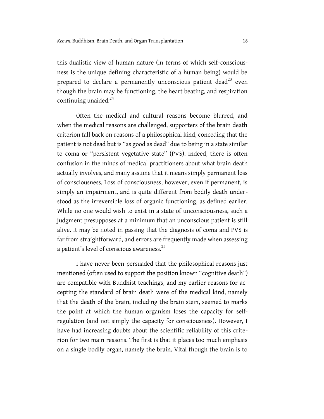this dualistic view of human nature (in terms of which self-consciousness is the unique defining characteristic of a human being) would be prepared to declare a permanently unconscious patient dead<sup>23</sup> even though the brain may be functioning, the heart beating, and respiration continuing unaided. $24$ 

Often the medical and cultural reasons become blurred, and when the medical reasons are challenged, supporters of the brain death criterion fall back on reasons of a philosophical kind, conceding that the patient is not dead but is "as good as dead" due to being in a state similar to coma or "persistent vegetative state" (PVS). Indeed, there is often confusion in the minds of medical practitioners about what brain death actually involves, and many assume that it means simply permanent loss of consciousness. Loss of consciousness, however, even if permanent, is simply an impairment, and is quite different from bodily death understood as the irreversible loss of organic functioning, as defined earlier. While no one would wish to exist in a state of unconsciousness, such a judgment presupposes at a minimum that an unconscious patient is still alive. It may be noted in passing that the diagnosis of coma and PVS is far from straightforward, and errors are frequently made when assessing a patient's level of conscious awareness.<sup>25</sup>

I have never been persuaded that the philosophical reasons just mentioned (often used to support the position known "cognitive death") are compatible with Buddhist teachings, and my earlier reasons for accepting the standard of brain death were of the medical kind, namely that the death of the brain, including the brain stem, seemed to marks the point at which the human organism loses the capacity for selfregulation (and not simply the capacity for consciousness). However, I have had increasing doubts about the scientific reliability of this criterion for two main reasons. The first is that it places too much emphasis on a single bodily organ, namely the brain. Vital though the brain is to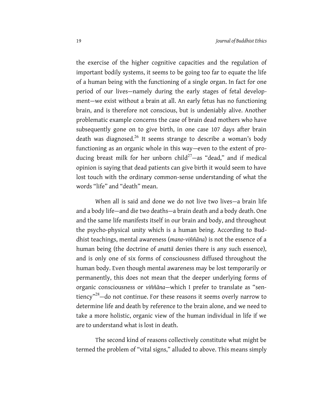the exercise of the higher cognitive capacities and the regulation of important bodily systems, it seems to be going too far to equate the life of a human being with the functioning of a single organ. In fact for one period of our lives—namely during the early stages of fetal development—we exist without a brain at all. An early fetus has no functioning brain, and is therefore not conscious, but is undeniably alive. Another problematic example concerns the case of brain dead mothers who have subsequently gone on to give birth, in one case 107 days after brain death was diagnosed.<sup>26</sup> It seems strange to describe a woman's body functioning as an organic whole in this way—even to the extent of producing breast milk for her unborn child<sup>27</sup>—as "dead," and if medical opinion is saying that dead patients can give birth it would seem to have lost touch with the ordinary common-sense understanding of what the words "life" and "death" mean.

When all is said and done we do not live two lives—a brain life and a body life—and die two deaths—a brain death and a body death. One and the same life manifests itself in our brain and body, and throughout the psycho-physical unity which is a human being. According to Buddhist teachings, mental awareness (*mano-viññāna*) is not the essence of a human being (the doctrine of *anattā* denies there is any such essence), and is only one of six forms of consciousness diffused throughout the human body. Even though mental awareness may be lost temporarily or permanently, this does not mean that the deeper underlying forms of organic consciousness or *viññāna*—which I prefer to translate as "sentiency" $^{28}$ —do not continue. For these reasons it seems overly narrow to determine life and death by reference to the brain alone, and we need to take a more holistic, organic view of the human individual in life if we are to understand what is lost in death.

The second kind of reasons collectively constitute what might be termed the problem of "vital signs," alluded to above. This means simply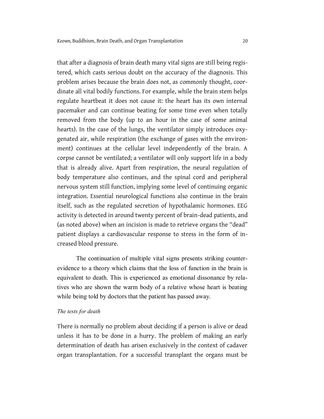that after a diagnosis of brain death many vital signs are still being registered, which casts serious doubt on the accuracy of the diagnosis. This problem arises because the brain does not, as commonly thought, coordinate all vital bodily functions. For example, while the brain stem helps regulate heartbeat it does not cause it: the heart has its own internal pacemaker and can continue beating for some time even when totally removed from the body (up to an hour in the case of some animal hearts). In the case of the lungs, the ventilator simply introduces oxygenated air, while respiration (the exchange of gases with the environment) continues at the cellular level independently of the brain. A corpse cannot be ventilated; a ventilator will only support life in a body that is already alive. Apart from respiration, the neural regulation of body temperature also continues, and the spinal cord and peripheral nervous system still function, implying some level of continuing organic integration. Essential neurological functions also continue in the brain itself, such as the regulated secretion of hypothalamic hormones. EEG activity is detected in around twenty percent of brain-dead patients, and (as noted above) when an incision is made to retrieve organs the "dead" patient displays a cardiovascular response to stress in the form of increased blood pressure.

The continuation of multiple vital signs presents striking counterevidence to a theory which claims that the loss of function in the brain is equivalent to death. This is experienced as emotional dissonance by relatives who are shown the warm body of a relative whose heart is beating while being told by doctors that the patient has passed away.

#### *The tests for death*

There is normally no problem about deciding if a person is alive or dead unless it has to be done in a hurry. The problem of making an early determination of death has arisen exclusively in the context of cadaver organ transplantation. For a successful transplant the organs must be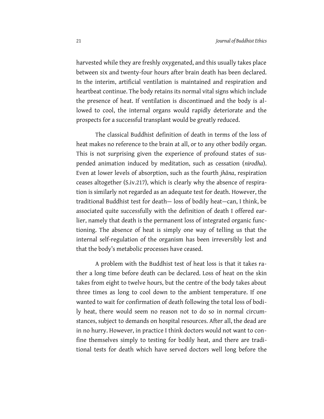harvested while they are freshly oxygenated, and this usually takes place between six and twenty-four hours after brain death has been declared. In the interim, artificial ventilation is maintained and respiration and heartbeat continue. The body retains its normal vital signs which include the presence of heat. If ventilation is discontinued and the body is allowed to cool, the internal organs would rapidly deteriorate and the prospects for a successful transplant would be greatly reduced.

The classical Buddhist definition of death in terms of the loss of heat makes no reference to the brain at all, or to any other bodily organ. This is not surprising given the experience of profound states of suspended animation induced by meditation, such as cessation (*nirodha*). Even at lower levels of absorption, such as the fourth *jhāna*, respiration ceases altogether (S.iv.217), which is clearly why the absence of respiration is similarly not regarded as an adequate test for death. However, the traditional Buddhist test for death— loss of bodily heat—can, I think, be associated quite successfully with the definition of death I offered earlier, namely that death is the permanent loss of integrated organic functioning. The absence of heat is simply one way of telling us that the internal self-regulation of the organism has been irreversibly lost and that the body's metabolic processes have ceased.

A problem with the Buddhist test of heat loss is that it takes rather a long time before death can be declared. Loss of heat on the skin takes from eight to twelve hours, but the centre of the body takes about three times as long to cool down to the ambient temperature. If one wanted to wait for confirmation of death following the total loss of bodily heat, there would seem no reason not to do so in normal circumstances, subject to demands on hospital resources. After all, the dead are in no hurry. However, in practice I think doctors would not want to confine themselves simply to testing for bodily heat, and there are traditional tests for death which have served doctors well long before the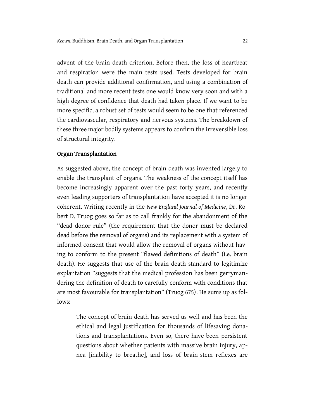advent of the brain death criterion. Before then, the loss of heartbeat and respiration were the main tests used. Tests developed for brain death can provide additional confirmation, and using a combination of traditional and more recent tests one would know very soon and with a high degree of confidence that death had taken place. If we want to be more specific, a robust set of tests would seem to be one that referenced the cardiovascular, respiratory and nervous systems. The breakdown of these three major bodily systems appears to confirm the irreversible loss of structural integrity.

#### Organ Transplantation

As suggested above, the concept of brain death was invented largely to enable the transplant of organs. The weakness of the concept itself has become increasingly apparent over the past forty years, and recently even leading supporters of transplantation have accepted it is no longer coherent. Writing recently in the *New England Journal of Medicine*, Dr. Robert D. Truog goes so far as to call frankly for the abandonment of the "dead donor rule" (the requirement that the donor must be declared dead before the removal of organs) and its replacement with a system of informed consent that would allow the removal of organs without having to conform to the present "flawed definitions of death" (i.e. brain death). He suggests that use of the brain-death standard to legitimize explantation "suggests that the medical profession has been gerrymandering the definition of death to carefully conform with conditions that are most favourable for transplantation" (Truog 675). He sums up as follows:

The concept of brain death has served us well and has been the ethical and legal justification for thousands of lifesaving donations and transplantations. Even so, there have been persistent questions about whether patients with massive brain injury, apnea [inability to breathe], and loss of brain-stem reflexes are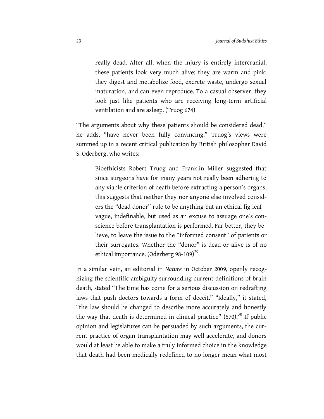really dead. After all, when the injury is entirely intercranial, these patients look very much alive: they are warm and pink; they digest and metabolize food, excrete waste, undergo sexual maturation, and can even reproduce. To a casual observer, they look just like patients who are receiving long-term artificial ventilation and are asleep. (Truog 674)

"The arguments about why these patients should be considered dead," he adds, "have never been fully convincing." Truog's views were summed up in a recent critical publication by British philosopher David S. Oderberg, who writes:

Bioethicists Robert Truog and Franklin Miller suggested that since surgeons have for many years not really been adhering to any viable criterion of death before extracting a person's organs, this suggests that neither they nor anyone else involved considers the "dead donor" rule to be anything but an ethical fig leaf vague, indefinable, but used as an excuse to assuage one's conscience before transplantation is performed. Far better, they believe, to leave the issue to the "informed consent" of patients or their surrogates. Whether the "donor" is dead or alive is of no ethical importance. (Oderberg 98-109)<sup>29</sup>

In a similar vein, an editorial in *Nature* in October 2009, openly recognizing the scientific ambiguity surrounding current definitions of brain death, stated "The time has come for a serious discussion on redrafting laws that push doctors towards a form of deceit." "Ideally," it stated, "the law should be changed to describe more accurately and honestly the way that death is determined in clinical practice"  $(570)^{30}$  If public opinion and legislatures can be persuaded by such arguments, the current practice of organ transplantation may well accelerate, and donors would at least be able to make a truly informed choice in the knowledge that death had been medically redefined to no longer mean what most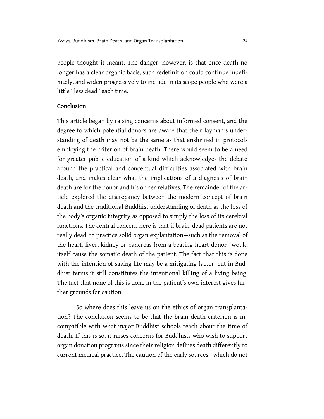people thought it meant. The danger, however, is that once death no longer has a clear organic basis, such redefinition could continue indefinitely, and widen progressively to include in its scope people who were a little "less dead" each time.

# Conclusion

This article began by raising concerns about informed consent, and the degree to which potential donors are aware that their layman's understanding of death may not be the same as that enshrined in protocols employing the criterion of brain death. There would seem to be a need for greater public education of a kind which acknowledges the debate around the practical and conceptual difficulties associated with brain death, and makes clear what the implications of a diagnosis of brain death are for the donor and his or her relatives. The remainder of the article explored the discrepancy between the modern concept of brain death and the traditional Buddhist understanding of death as the loss of the body's organic integrity as opposed to simply the loss of its cerebral functions. The central concern here is that if brain-dead patients are not really dead, to practice solid organ explantation—such as the removal of the heart, liver, kidney or pancreas from a beating-heart donor—would itself cause the somatic death of the patient. The fact that this is done with the intention of saving life may be a mitigating factor, but in Buddhist terms it still constitutes the intentional killing of a living being. The fact that none of this is done in the patient's own interest gives further grounds for caution.

So where does this leave us on the ethics of organ transplantation? The conclusion seems to be that the brain death criterion is incompatible with what major Buddhist schools teach about the time of death. If this is so, it raises concerns for Buddhists who wish to support organ donation programs since their religion defines death differently to current medical practice. The caution of the early sources—which do not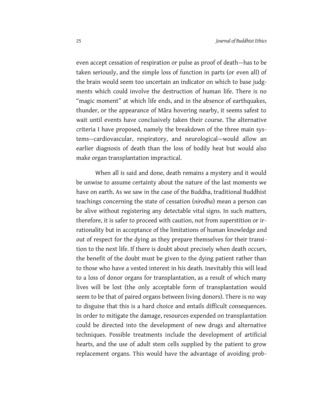even accept cessation of respiration or pulse as proof of death—has to be taken seriously, and the simple loss of function in parts (or even all) of the brain would seem too uncertain an indicator on which to base judgments which could involve the destruction of human life. There is no "magic moment" at which life ends, and in the absence of earthquakes, thunder, or the appearance of Māra hovering nearby, it seems safest to wait until events have conclusively taken their course. The alternative criteria I have proposed, namely the breakdown of the three main systems—cardiovascular, respiratory, and neurological—would allow an earlier diagnosis of death than the loss of bodily heat but would also make organ transplantation impractical.

When all is said and done, death remains a mystery and it would be unwise to assume certainty about the nature of the last moments we have on earth. As we saw in the case of the Buddha, traditional Buddhist teachings concerning the state of cessation (*nirodha*) mean a person can be alive without registering any detectable vital signs. In such matters, therefore, it is safer to proceed with caution, not from superstition or irrationality but in acceptance of the limitations of human knowledge and out of respect for the dying as they prepare themselves for their transition to the next life. If there is doubt about precisely when death occurs, the benefit of the doubt must be given to the dying patient rather than to those who have a vested interest in his death. Inevitably this will lead to a loss of donor organs for transplantation, as a result of which many lives will be lost (the only acceptable form of transplantation would seem to be that of paired organs between living donors). There is no way to disguise that this is a hard choice and entails difficult consequences. In order to mitigate the damage, resources expended on transplantation could be directed into the development of new drugs and alternative techniques. Possible treatments include the development of artificial hearts, and the use of adult stem cells supplied by the patient to grow replacement organs. This would have the advantage of avoiding prob-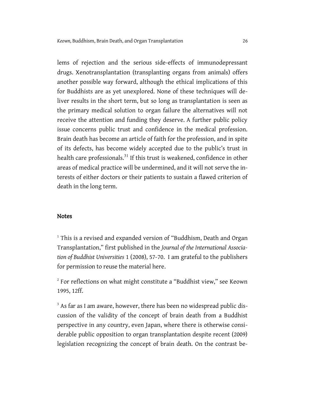lems of rejection and the serious side-effects of immunodepressant drugs. Xenotransplantation (transplanting organs from animals) offers another possible way forward, although the ethical implications of this for Buddhists are as yet unexplored. None of these techniques will deliver results in the short term, but so long as transplantation is seen as the primary medical solution to organ failure the alternatives will not receive the attention and funding they deserve. A further public policy issue concerns public trust and confidence in the medical profession. Brain death has become an article of faith for the profession, and in spite of its defects, has become widely accepted due to the public's trust in health care professionals.<sup>31</sup> If this trust is weakened, confidence in other areas of medical practice will be undermined, and it will not serve the interests of either doctors or their patients to sustain a flawed criterion of death in the long term.

## Notes

<sup>1</sup> This is a revised and expanded version of "Buddhism, Death and Organ Transplantation," first published in the *Journal of the International Association of Buddhist Universities* 1 (2008), 57-70. I am grateful to the publishers for permission to reuse the material here.

 $2^{2}$  For reflections on what might constitute a "Buddhist view," see Keown 1995, 12ff.

<sup>3</sup> As far as I am aware, however, there has been no widespread public discussion of the validity of the concept of brain death from a Buddhist perspective in any country, even Japan, where there is otherwise considerable public opposition to organ transplantation despite recent (2009) legislation recognizing the concept of brain death. On the contrast be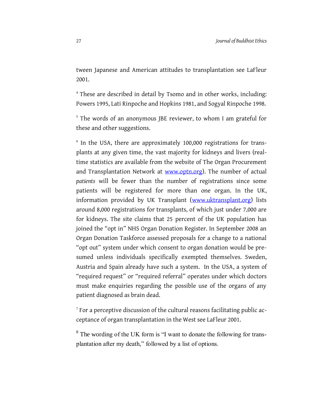tween Japanese and American attitudes to transplantation see LaFleur 2001.

<sup>4</sup> These are described in detail by Tsomo and in other works, including: Powers 1995, Lati Rinpoche and Hopkins 1981, and Sogyal Rinpoche 1998.

<sup>5</sup> The words of an anonymous JBE reviewer, to whom I am grateful for these and other suggestions.

<sup>6</sup> In the USA, there are approximately 100,000 registrations for transplants at any given time, the vast majority for kidneys and livers (realtime statistics are available from the website of The Organ Procurement and Transplantation Network at [www.optn.org\)](http://www.optn.org/). The number of actual *patients* will be fewer than the number of registrations since some patients will be registered for more than one organ. In the UK, information provided by UK Transplant [\(www.uktransplant.org\)](http://www.uktransplant.org/) lists around 8,000 registrations for transplants, of which just under 7,000 are for kidneys. The site claims that 25 percent of the UK population has joined the "opt in" NHS Organ Donation Register. In September 2008 an Organ Donation Taskforce assessed proposals for a change to a national "opt out" system under which consent to organ donation would be presumed unless individuals specifically exempted themselves. Sweden, Austria and Spain already have such a system. In the USA, a system of "required request" or "required referral" operates under which doctors must make enquiries regarding the possible use of the organs of any patient diagnosed as brain dead.

 $7$  For a perceptive discussion of the cultural reasons facilitating public acceptance of organ transplantation in the West see LaFleur 2001.

<sup>8</sup> The wording of the UK form is "I want to donate the following for transplantation after my death," followed by a list of options.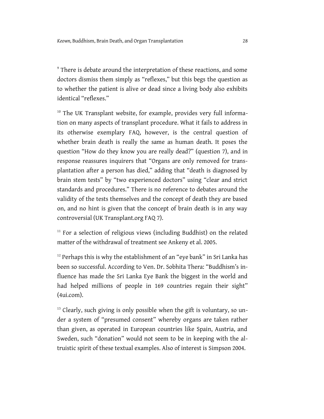<sup>9</sup> There is debate around the interpretation of these reactions, and some doctors dismiss them simply as "reflexes," but this begs the question as to whether the patient is alive or dead since a living body also exhibits identical "reflexes."

<sup>10</sup> The UK Transplant website, for example, provides very full information on many aspects of transplant procedure. What it fails to address in its otherwise exemplary FAQ, however, is the central question of whether brain death is really the same as human death. It poses the question "How do they know you are really dead?" (question 7), and in response reassures inquirers that "Organs are only removed for transplantation after a person has died," adding that "death is diagnosed by brain stem tests" by "two experienced doctors" using "clear and strict standards and procedures." There is no reference to debates around the validity of the tests themselves and the concept of death they are based on, and no hint is given that the concept of brain death is in any way controversial (UK Transplant.org FAQ 7).

 $11$  For a selection of religious views (including Buddhist) on the related matter of the withdrawal of treatment see Ankeny et al. 2005.

 $12$  Perhaps this is why the establishment of an "eye bank" in Sri Lanka has been so successful. According to Ven. Dr. Sobhita Thera: "Buddhism's influence has made the Sri Lanka Eye Bank the biggest in the world and had helped millions of people in 169 countries regain their sight" (4ui.com).

<sup>13</sup> Clearly, such giving is only possible when the gift is voluntary, so under a system of "presumed consent" whereby organs are taken rather than given, as operated in European countries like Spain, Austria, and Sweden, such "donation" would not seem to be in keeping with the altruistic spirit of these textual examples. Also of interest is Simpson 2004.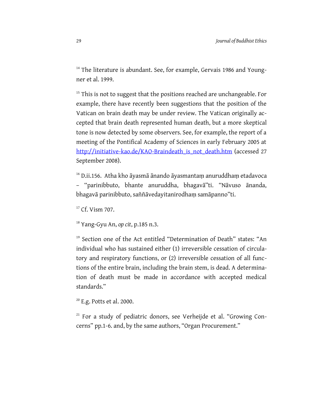<sup>14</sup> The literature is abundant. See, for example, Gervais 1986 and Youngner et al. 1999.

 $15$ <sup>15</sup> This is not to suggest that the positions reached are unchangeable. For example, there have recently been suggestions that the position of the Vatican on brain death may be under review. The Vatican originally accepted that brain death represented human death, but a more skeptical tone is now detected by some observers. See, for example, the report of a meeting of the Pontifical Academy of Sciences in early February 2005 at [http://initiative-kao.de/KAO-Braindeath\\_is\\_not\\_death.htm](http://initiative-kao.de/KAO-Braindeath_is_not_death.htm) (accessed 27 September 2008).

<sup>16</sup> D.ii.156. Atha kho āyasmā ānando āyasmantam anuruddham etadavoca – "parinibbuto, bhante anuruddha, bhagavā"ti. "Nāvuso ānanda, bhagavā parinibbuto, saññāvedayitanirodhaṃ samāpanno"ti.

<sup>17</sup> Cf. Vism 707.

<sup>18</sup> Yang-Gyu An, *op cit*, p.185 n.3.

<sup>19</sup> Section one of the Act entitled "Determination of Death" states: "An individual who has sustained either (1) irreversible cessation of circulatory and respiratory functions, or (2) irreversible cessation of all functions of the entire brain, including the brain stem, is dead. A determination of death must be made in accordance with accepted medical standards."

<sup>20</sup> E.g. Potts et al. 2000.

<sup>21</sup> For a study of pediatric donors, see Verheijde et al. "Growing Concerns" pp.1-6. and, by the same authors, "Organ Procurement."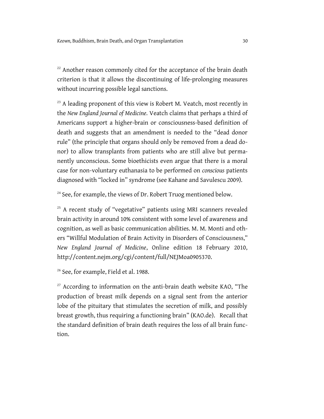<sup>22</sup> Another reason commonly cited for the acceptance of the brain death criterion is that it allows the discontinuing of life-prolonging measures without incurring possible legal sanctions.

<sup>23</sup> A leading proponent of this view is Robert M. Veatch, most recently in the *New England Journal of Medicine.* Veatch claims that perhaps a third of Americans support a higher-brain or consciousness-based definition of death and suggests that an amendment is needed to the "dead donor rule" (the principle that organs should only be removed from a dead donor) to allow transplants from patients who are still alive but permanently unconscious. Some bioethicists even argue that there is a moral case for non-voluntary euthanasia to be performed on *conscious* patients diagnosed with "locked in" syndrome (see Kahane and Savulescu 2009).

<sup>24</sup> See, for example, the views of Dr. Robert Truog mentioned below.

<sup>25</sup> A recent study of "vegetative" patients using MRI scanners revealed brain activity in around 10% consistent with some level of awareness and cognition, as well as basic communication abilities. M. M. Monti and others "Willful Modulation of Brain Activity in Disorders of Consciousness," *New England Journal of Medicine*, Online edition 18 February 2010, http://content.nejm.org/cgi/content/full/NEJMoa0905370.

<sup>26</sup> See, for example, Field et al. 1988.

<sup>27</sup> According to information on the anti-brain death website KAO, "The production of breast milk depends on a signal sent from the anterior lobe of the pituitary that stimulates the secretion of milk, and possibly breast growth, thus requiring a functioning brain" (KAO.de). Recall that the standard definition of brain death requires the loss of all brain function.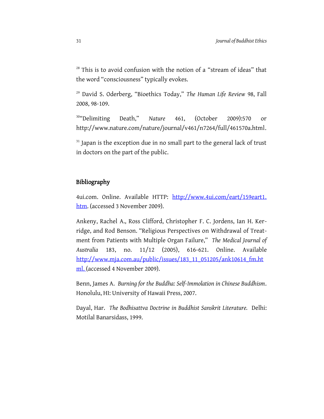<sup>28</sup> This is to avoid confusion with the notion of a "stream of ideas" that the word "consciousness" typically evokes.

<sup>29</sup> David S. Oderberg, "Bioethics Today," *The Human Life Review* 98, Fall 2008, 98-109.

<sup>30</sup>"Delimiting Death," *Nature* 461, (October 2009):570 or http://www.nature.com/nature/journal/v461/n7264/full/461570a.html.

 $31$  Japan is the exception due in no small part to the general lack of trust in doctors on the part of the public.

# Bibliography

4ui.com. Online. Available HTTP: [http://www.4ui.com/eart/159eart1.](http://www.4ui.com/eart/159eart1.%20htm) [htm.](http://www.4ui.com/eart/159eart1.%20htm) (accessed 3 November 2009).

Ankeny, Rachel A., Ross Clifford, Christopher F. C. Jordens, Ian H. Kerridge, and Rod Benson. "Religious Perspectives on Withdrawal of Treatment from Patients with Multiple Organ Failure," *The Medical Journal of Australia* 183, no. 11/12 (2005), 616-621. Online. Available [http://www.mja.com.au/public/issues/183\\_11\\_051205/ank10614\\_fm.ht](http://www.mja.com.au/public/issues/183_11_051205/ank10614_fm.html.) [ml. \(](http://www.mja.com.au/public/issues/183_11_051205/ank10614_fm.html.)accessed 4 November 2009).

Benn, James A. *Burning for the Buddha: Self-Immolation in Chinese Buddhism*. Honolulu, HI: University of Hawaii Press, 2007.

Dayal, Har. *The Bodhisattva Doctrine in Buddhist Sanskrit Literature.* Delhi: Motilal Banarsidass, 1999.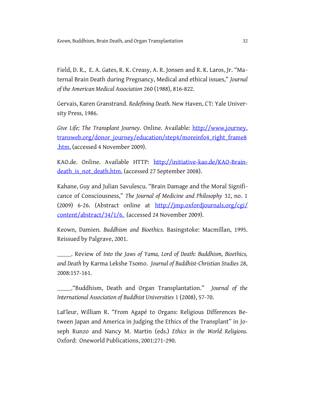Field, D. R., E. A. Gates, R. K. Creasy, A. R. Jonsen and R. K. Laros, Jr. "Maternal Brain Death during Pregnancy, Medical and ethical issues," *Journal of the American Medical Association* 260 (1988), 816-822.

Gervais, Karen Granstrand. *Redefining Death.* New Haven, CT: Yale University Press, 1986.

*Give Life; The Transplant Journey.* Online. Available*:* http://www.journey. transweb.org/donor\_journey/education/step4/moreinfo4\_right\_frame8 .htm, (accessed 4 November 2009).

KAO.de. Online. Available HTTP: [http://initiative-kao.de/KAO-Brain](http://initiative-kao.de/KAO-Braindeath_is_not_death.htm)[death\\_is\\_not\\_death.htm,](http://initiative-kao.de/KAO-Braindeath_is_not_death.htm) (accessed 27 September 2008).

Kahane, Guy and Julian Savulescu. "Brain Damage and the Moral Significance of Consciousness," *The Journal of Medicine and Philosophy* 32, no. 1 (2009) 6-26. (Abstract online at [http://jmp.oxfordjournals.org/cgi/](http://jmp.oxfordjournals.org/cgi/%20content/abstract/34/1/6.) [content/abstract/34/1/6.](http://jmp.oxfordjournals.org/cgi/%20content/abstract/34/1/6.) (accessed 24 November 2009).

Keown, Damien. *Buddhism and Bioethics.* Basingstoke: Macmillan, 1995. Reissued by Palgrave, 2001.

 . Review of *Into the Jaws of Yama, Lord of Death: Buddhism, Bioethics, and Death* by Karma Lekshe Tsomo. *Journal of Buddhist-Christian Studies* 28, 2008:157-161.

 ."Buddhism, Death and Organ Transplantation." *Journal of the International Association of Buddhist Universities* 1 (2008), 57-70.

LaFleur, William R. "From Agapé to Organs: Religious Differences Between Japan and America in Judging the Ethics of the Transplant" in Joseph Runzo and Nancy M. Martin (eds.) *Ethics in the World Religions.* Oxford: Oneworld Publications, 2001:271-290.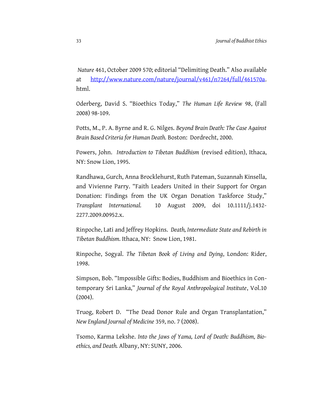*Nature* 461, October 2009 570; editorial "Delimiting Death." Also available at [http://www.nature.com/nature/journal/v461/n7264/full/461570a.](http://www.nature.com/nature/journal/v461/n7264/full/461570a) html.

Oderberg, David S. "Bioethics Today," *The Human Life Review* 98, (Fall 2008) 98-109.

Potts, M., P. A. Byrne and R. G. Nilges. *Beyond Brain Death: The Case Against Brain Based Criteria for Human Death.* Boston: Dordrecht, 2000.

Powers, John. *Introduction to Tibetan Buddhism* (revised edition), Ithaca, NY: Snow Lion, 1995.

Randhawa, Gurch, Anna Brocklehurst, Ruth Pateman, Suzannah Kinsella, and Vivienne Parry. "Faith Leaders United in their Support for Organ Donation: Findings from the UK Organ Donation Taskforce Study," *Transplant International.* 10 August 2009, doi 10.1111/j.1432- 2277.2009.00952.x.

Rinpoche, Lati and Jeffrey Hopkins. *Death, Intermediate State and Rebirth in Tibetan Buddhism.* Ithaca, NY: Snow Lion, 1981.

Rinpoche, Sogyal. *The Tibetan Book of Living and Dying*, London: Rider, 1998.

Simpson, Bob. "Impossible Gifts: Bodies, Buddhism and Bioethics in Contemporary Sri Lanka," *Journal of the Royal Anthropological Institute*, Vol.10 (2004).

Truog, Robert D. "The Dead Donor Rule and Organ Transplantation," *New England Journal of Medicine* 359, no. 7 (2008).

Tsomo, Karma Lekshe. *Into the Jaws of Yama, Lord of Death: Buddhism, Bioethics, and Death.* Albany, NY: SUNY, 2006.